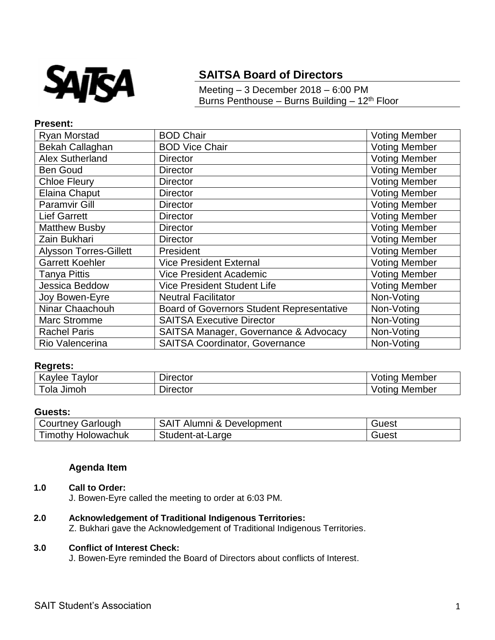

# **SAITSA Board of Directors**

Meeting – 3 December 2018 – 6:00 PM Burns Penthouse – Burns Building –  $12<sup>th</sup>$  Floor

## **Present:**

| <b>Ryan Morstad</b>           | <b>BOD Chair</b>                                 | <b>Voting Member</b> |
|-------------------------------|--------------------------------------------------|----------------------|
| Bekah Callaghan               | <b>BOD Vice Chair</b>                            | <b>Voting Member</b> |
| <b>Alex Sutherland</b>        | <b>Director</b>                                  | <b>Voting Member</b> |
| <b>Ben Goud</b>               | <b>Director</b>                                  | <b>Voting Member</b> |
| <b>Chloe Fleury</b>           | <b>Director</b>                                  | <b>Voting Member</b> |
| Elaina Chaput                 | <b>Director</b>                                  | <b>Voting Member</b> |
| <b>Paramvir Gill</b>          | <b>Director</b>                                  | <b>Voting Member</b> |
| <b>Lief Garrett</b>           | <b>Director</b>                                  | <b>Voting Member</b> |
| <b>Matthew Busby</b>          | <b>Director</b>                                  | <b>Voting Member</b> |
| Zain Bukhari                  | <b>Director</b>                                  | <b>Voting Member</b> |
| <b>Alysson Torres-Gillett</b> | President                                        | <b>Voting Member</b> |
| <b>Garrett Koehler</b>        | <b>Vice President External</b>                   | <b>Voting Member</b> |
| <b>Tanya Pittis</b>           | <b>Vice President Academic</b>                   | <b>Voting Member</b> |
| Jessica Beddow                | <b>Vice President Student Life</b>               | <b>Voting Member</b> |
| Joy Bowen-Eyre                | <b>Neutral Facilitator</b>                       | Non-Voting           |
| Ninar Chaachouh               | <b>Board of Governors Student Representative</b> | Non-Voting           |
| <b>Marc Stromme</b>           | <b>SAITSA Executive Director</b>                 | Non-Voting           |
| <b>Rachel Paris</b>           | SAITSA Manager, Governance & Advocacy            | Non-Voting           |
| Rio Valencerina               | <b>SAITSA Coordinator, Governance</b>            | Non-Voting           |

## **Regrets:**

| K<br>avlor<br>avlee<br>w | Dırector | Member<br>$-$<br>ΟUΙ<br>וי - |
|--------------------------|----------|------------------------------|
| Jimoh<br>ola             | Dırector | Member<br>Otir<br>ιс.        |

#### **Guests:**

| Courtney Garlough         | <b>SAIT</b><br>Alumni & Development | Guest |
|---------------------------|-------------------------------------|-------|
| <b>Timothy Holowachuk</b> | Student-at-Large                    | Guest |

## **Agenda Item**

### **1.0 Call to Order:**

J. Bowen-Eyre called the meeting to order at 6:03 PM.

- **2.0 Acknowledgement of Traditional Indigenous Territories:**
	- Z. Bukhari gave the Acknowledgement of Traditional Indigenous Territories.

### **3.0 Conflict of Interest Check:**

J. Bowen-Eyre reminded the Board of Directors about conflicts of Interest.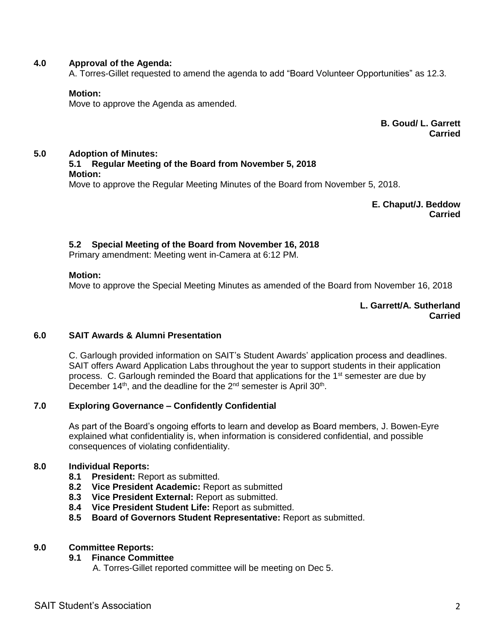## **4.0 Approval of the Agenda:**

A. Torres-Gillet requested to amend the agenda to add "Board Volunteer Opportunities" as 12.3.

#### **Motion:**

Move to approve the Agenda as amended.

**B. Goud/ L. Garrett Carried**

## **5.0 Adoption of Minutes:**

## **5.1 Regular Meeting of the Board from November 5, 2018 Motion:**

Move to approve the Regular Meeting Minutes of the Board from November 5, 2018.

**E. Chaput/J. Beddow Carried**

## **5.2 Special Meeting of the Board from November 16, 2018**

Primary amendment: Meeting went in-Camera at 6:12 PM.

#### **Motion:**

Move to approve the Special Meeting Minutes as amended of the Board from November 16, 2018

**L. Garrett/A. Sutherland Carried**

#### **6.0 SAIT Awards & Alumni Presentation**

C. Garlough provided information on SAIT's Student Awards' application process and deadlines. SAIT offers Award Application Labs throughout the year to support students in their application process. C. Garlough reminded the Board that applications for the  $1<sup>st</sup>$  semester are due by December  $14<sup>th</sup>$ , and the deadline for the  $2<sup>nd</sup>$  semester is April 30<sup>th</sup>.

#### **7.0 Exploring Governance – Confidently Confidential**

As part of the Board's ongoing efforts to learn and develop as Board members, J. Bowen-Eyre explained what confidentiality is, when information is considered confidential, and possible consequences of violating confidentiality.

## **8.0 Individual Reports:**

- **8.1 President:** Report as submitted.
- **8.2 Vice President Academic:** Report as submitted
- **8.3 Vice President External:** Report as submitted.
- **8.4 Vice President Student Life:** Report as submitted.
- **8.5 Board of Governors Student Representative:** Report as submitted.

#### **9.0 Committee Reports:**

#### **9.1 Finance Committee**

A. Torres-Gillet reported committee will be meeting on Dec 5.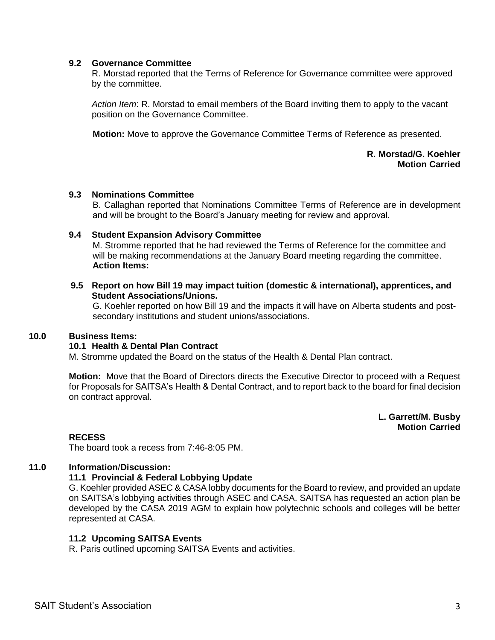#### **9.2 Governance Committee**

R. Morstad reported that the Terms of Reference for Governance committee were approved by the committee.

*Action Item*: R. Morstad to email members of the Board inviting them to apply to the vacant position on the Governance Committee.

**Motion:** Move to approve the Governance Committee Terms of Reference as presented.

#### **R. Morstad/G. Koehler Motion Carried**

#### **9.3 Nominations Committee**

B. Callaghan reported that Nominations Committee Terms of Reference are in development and will be brought to the Board's January meeting for review and approval.

#### **9.4 Student Expansion Advisory Committee**

M. Stromme reported that he had reviewed the Terms of Reference for the committee and will be making recommendations at the January Board meeting regarding the committee. **Action Items:**

## **9.5 Report on how Bill 19 may impact tuition (domestic & international), apprentices, and Student Associations/Unions.**

G. Koehler reported on how Bill 19 and the impacts it will have on Alberta students and postsecondary institutions and student unions/associations.

#### **10.0 Business Items:**

## **10.1 Health & Dental Plan Contract**

M. Stromme updated the Board on the status of the Health & Dental Plan contract.

**Motion:** Move that the Board of Directors directs the Executive Director to proceed with a Request for Proposals for SAITSA's Health & Dental Contract, and to report back to the board for final decision on contract approval.

> **L. Garrett/M. Busby Motion Carried**

#### **RECESS**

The board took a recess from 7:46-8:05 PM.

## **11.0 Information**/**Discussion:**

#### **11.1 Provincial & Federal Lobbying Update**

G. Koehler provided ASEC & CASA lobby documents for the Board to review, and provided an update on SAITSA's lobbying activities through ASEC and CASA. SAITSA has requested an action plan be developed by the CASA 2019 AGM to explain how polytechnic schools and colleges will be better represented at CASA.

#### **11.2 Upcoming SAITSA Events**

R. Paris outlined upcoming SAITSA Events and activities.